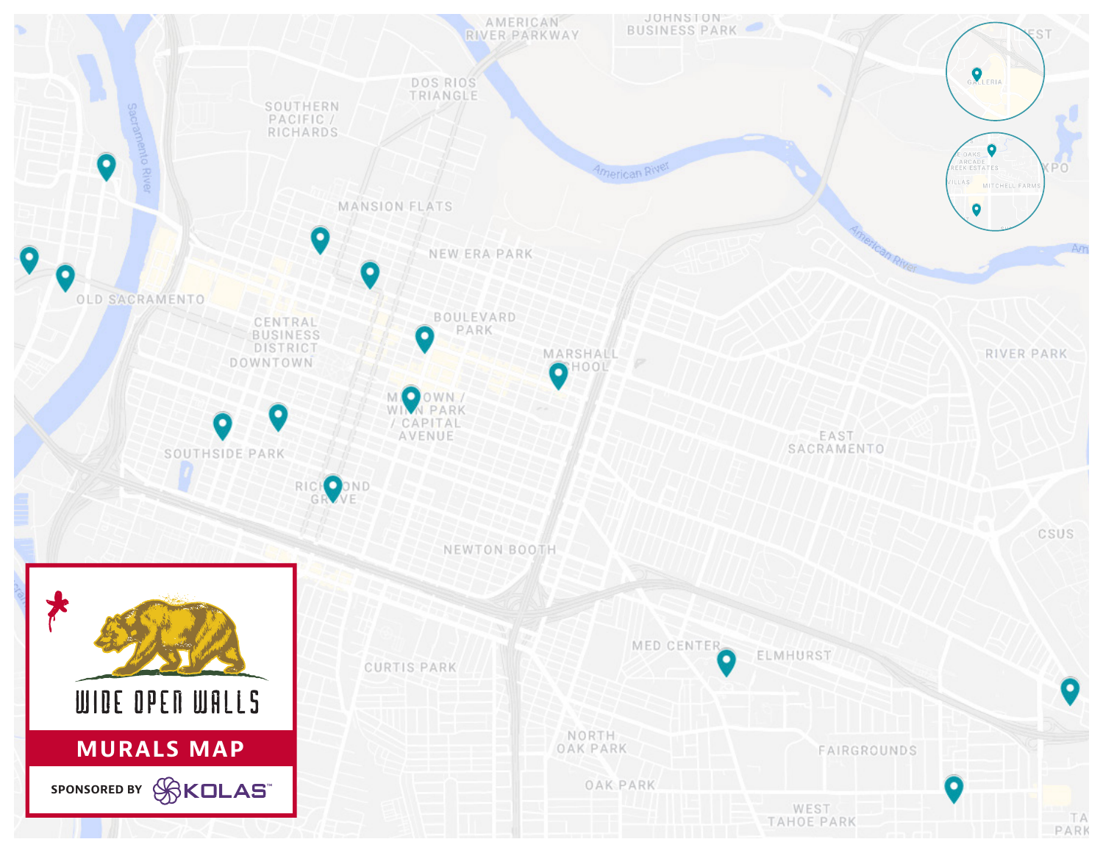